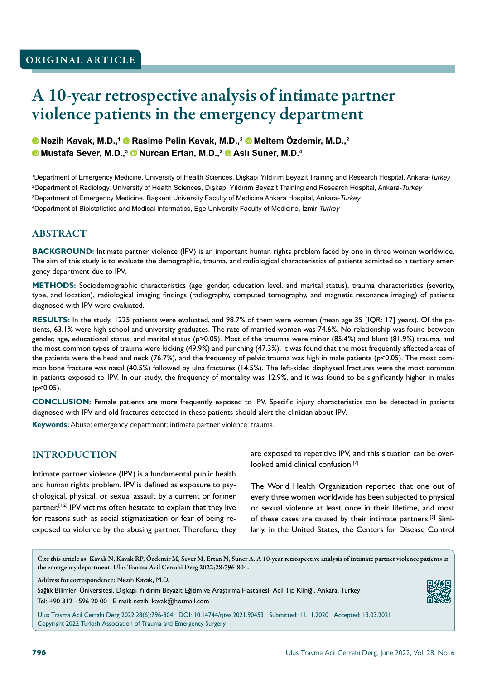# A 10-year retrospective analysis of intimate partner violence patients in the emergency department

### **Nezih Kavak, M.D.,1 Rasime Pelin Kavak, M.D.,2 Meltem Özdemir, M.D.,2 Mustafa Sever, M.D.,3 Nurcan Ertan, M.D.,2 Aslı Suner, M.D.<sup>4</sup>**

 Department of Emergency Medicine, University of Health Sciences, Dışkapı Yıldırım Beyazıt Training and Research Hospital, Ankara-*Turkey* Department of Radiology, University of Health Sciences, Dışkapı Yıldırım Beyazıt Training and Research Hospital, Ankara-*Turkey* Department of Emergency Medicine, Başkent University Faculty of Medicine Ankara Hospital, Ankara-*Turkey* Department of Bioistatistics and Medical Informatics, Ege University Faculty of Medicine, İzmir-*Turkey*

### ABSTRACT

**BACKGROUND:** Intimate partner violence (IPV) is an important human rights problem faced by one in three women worldwide. The aim of this study is to evaluate the demographic, trauma, and radiological characteristics of patients admitted to a tertiary emergency department due to IPV.

**METHODS:** Sociodemographic characteristics (age, gender, education level, and marital status), trauma characteristics (severity, type, and location), radiological imaging findings (radiography, computed tomography, and magnetic resonance imaging) of patients diagnosed with IPV were evaluated.

**RESULTS:** In the study, 1225 patients were evaluated, and 98.7% of them were women (mean age 35 [IQR: 17] years). Of the patients, 63.1% were high school and university graduates. The rate of married women was 74.6%. No relationship was found between gender, age, educational status, and marital status (p>0.05). Most of the traumas were minor (85.4%) and blunt (81.9%) trauma, and the most common types of trauma were kicking (49.9%) and punching (47.3%). It was found that the most frequently affected areas of the patients were the head and neck (76.7%), and the frequency of pelvic trauma was high in male patients ( $p<0.05$ ). The most common bone fracture was nasal (40.5%) followed by ulna fractures (14.5%). The left-sided diaphyseal fractures were the most common in patients exposed to IPV. In our study, the frequency of mortality was 12.9%, and it was found to be significantly higher in males (p<0.05).

**CONCLUSION:** Female patients are more frequently exposed to IPV. Specific injury characteristics can be detected in patients diagnosed with IPV and old fractures detected in these patients should alert the clinician about IPV.

**Keywords:** Abuse; emergency department; intimate partner violence; trauma.

## INTRODUCTION

Intimate partner violence (IPV) is a fundamental public health and human rights problem. IPV is defined as exposure to psychological, physical, or sexual assault by a current or former partner.<sup>[1,2]</sup> IPV victims often hesitate to explain that they live for reasons such as social stigmatization or fear of being reexposed to violence by the abusing partner. Therefore, they are exposed to repetitive IPV, and this situation can be overlooked amid clinical confusion.[2]

The World Health Organization reported that one out of every three women worldwide has been subjected to physical or sexual violence at least once in their lifetime, and most of these cases are caused by their intimate partners.[3] Similarly, in the United States, the Centers for Disease Control

Cite this article as: Kavak N, Kavak RP, Özdemir M, Sever M, Ertan N, Suner A. A 10-year retrospective analysis of intimate partner violence patients in the emergency department. Ulus Travma Acil Cerrahi Derg 2022;28:796-804.

Address for correspondence: Nezih Kavak, M.D.

Sağlık Bilimleri Üniversitesi, Dışkapı Yıldırım Beyazıt Eğitim ve Araştırma Hastanesi, Acil Tıp Kliniği, Ankara, Turkey Tel: +90 312 - 596 20 00 E-mail: nezih\_kavak@hotmail.com

Ulus Travma Acil Cerrahi Derg 2022;28(6):796-804 DOI: 10.14744/tjtes.2021.90453 Submitted: 11.11.2020 Accepted: 13.03.2021 Copyright 2022 Turkish Association of Trauma and Emergency Surgery

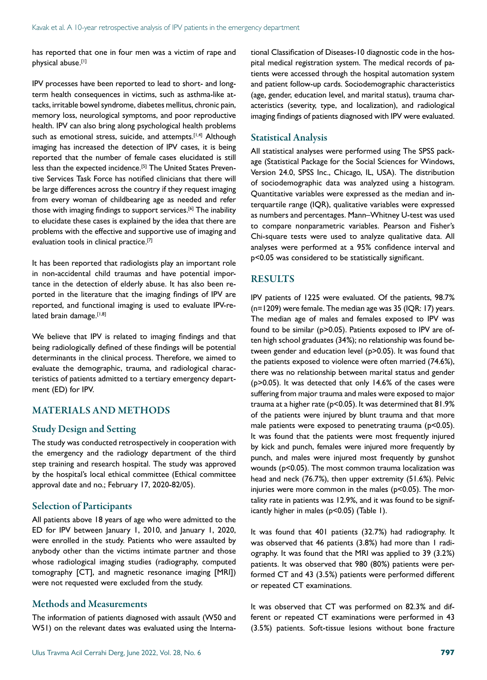has reported that one in four men was a victim of rape and physical abuse.[1]

IPV processes have been reported to lead to short- and longterm health consequences in victims, such as asthma-like attacks, irritable bowel syndrome, diabetes mellitus, chronic pain, memory loss, neurological symptoms, and poor reproductive health. IPV can also bring along psychological health problems such as emotional stress, suicide, and attempts.<sup>[1,4]</sup> Although imaging has increased the detection of IPV cases, it is being reported that the number of female cases elucidated is still less than the expected incidence.<sup>[5]</sup> The United States Preventive Services Task Force has notified clinicians that there will be large differences across the country if they request imaging from every woman of childbearing age as needed and refer those with imaging findings to support services.[6] The inability to elucidate these cases is explained by the idea that there are problems with the effective and supportive use of imaging and evaluation tools in clinical practice.<sup>[7]</sup>

It has been reported that radiologists play an important role in non-accidental child traumas and have potential importance in the detection of elderly abuse. It has also been reported in the literature that the imaging findings of IPV are reported, and functional imaging is used to evaluate IPV-related brain damage.<sup>[1,8]</sup>

We believe that IPV is related to imaging findings and that being radiologically defined of these findings will be potential determinants in the clinical process. Therefore, we aimed to evaluate the demographic, trauma, and radiological characteristics of patients admitted to a tertiary emergency department (ED) for IPV.

#### MATERIALS AND METHODS

#### Study Design and Setting

The study was conducted retrospectively in cooperation with the emergency and the radiology department of the third step training and research hospital. The study was approved by the hospital's local ethical committee (Ethical committee approval date and no.; February 17, 2020-82/05).

#### Selection of Participants

All patients above 18 years of age who were admitted to the ED for IPV between January 1, 2010, and January 1, 2020, were enrolled in the study. Patients who were assaulted by anybody other than the victims intimate partner and those whose radiological imaging studies (radiography, computed tomography [CT], and magnetic resonance imaging [MRI]) were not requested were excluded from the study.

#### Methods and Measurements

The information of patients diagnosed with assault (W50 and W51) on the relevant dates was evaluated using the International Classification of Diseases-10 diagnostic code in the hospital medical registration system. The medical records of patients were accessed through the hospital automation system and patient follow-up cards. Sociodemographic characteristics (age, gender, education level, and marital status), trauma characteristics (severity, type, and localization), and radiological imaging findings of patients diagnosed with IPV were evaluated.

#### Statistical Analysis

All statistical analyses were performed using The SPSS package (Statistical Package for the Social Sciences for Windows, Version 24.0, SPSS Inc., Chicago, IL, USA). The distribution of sociodemographic data was analyzed using a histogram. Quantitative variables were expressed as the median and interquartile range (IQR), qualitative variables were expressed as numbers and percentages. Mann–Whitney U-test was used to compare nonparametric variables. Pearson and Fisher's Chi-square tests were used to analyze qualitative data. All analyses were performed at a 95% confidence interval and p<0.05 was considered to be statistically significant.

#### **RESULTS**

IPV patients of 1225 were evaluated. Of the patients, 98.7% (n=1209) were female. The median age was 35 (IQR: 17) years. The median age of males and females exposed to IPV was found to be similar (p>0.05). Patients exposed to IPV are often high school graduates (34%); no relationship was found between gender and education level (p>0.05). It was found that the patients exposed to violence were often married (74.6%), there was no relationship between marital status and gender (p>0.05). It was detected that only 14.6% of the cases were suffering from major trauma and males were exposed to major trauma at a higher rate (p<0.05). It was determined that 81.9% of the patients were injured by blunt trauma and that more male patients were exposed to penetrating trauma (p<0.05). It was found that the patients were most frequently injured by kick and punch, females were injured more frequently by punch, and males were injured most frequently by gunshot wounds (p<0.05). The most common trauma localization was head and neck (76.7%), then upper extremity (51.6%). Pelvic injuries were more common in the males ( $p$ <0.05). The mortality rate in patients was 12.9%, and it was found to be significantly higher in males (p<0.05) (Table 1).

It was found that 401 patients (32.7%) had radiography. It was observed that 46 patients (3.8%) had more than 1 radiography. It was found that the MRI was applied to 39 (3.2%) patients. It was observed that 980 (80%) patients were performed CT and 43 (3.5%) patients were performed different or repeated CT examinations.

It was observed that CT was performed on 82.3% and different or repeated CT examinations were performed in 43 (3.5%) patients. Soft-tissue lesions without bone fracture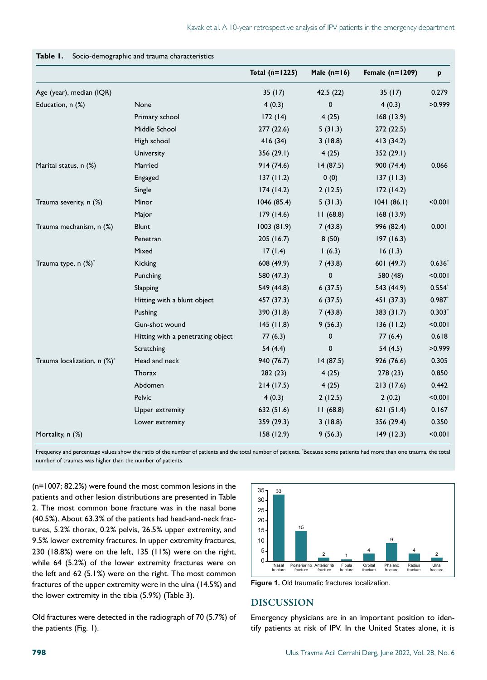|                             |                                   | Total $(n=1225)$ | Male $(n=16)$ | Female $(n=1209)$ | p        |
|-----------------------------|-----------------------------------|------------------|---------------|-------------------|----------|
| Age (year), median (IQR)    |                                   | 35(17)           | 42.5(22)      | 35(17)            | 0.279    |
| Education, n (%)            | None                              | 4(0.3)           | $\mathbf 0$   | 4(0.3)            | >0.999   |
|                             | Primary school                    | 172(14)          | 4(25)         | 168(13.9)         |          |
|                             | Middle School                     | 277 (22.6)       | 5(31.3)       | 272 (22.5)        |          |
|                             | High school                       | 416(34)          | 3(18.8)       | 413 (34.2)        |          |
|                             | University                        | 356(29.1)        | 4(25)         | 352 (29.1)        |          |
| Marital status, n (%)       | Married                           | 914(74.6)        | 14(87.5)      | 900 (74.4)        | 0.066    |
|                             | Engaged                           | 137(11.2)        | 0(0)          | 137(11.3)         |          |
|                             | Single                            | 174(14.2)        | 2(12.5)       | 172(14.2)         |          |
| Trauma severity, n (%)      | Minor                             | 1046(85.4)       | 5(31.3)       | 1041(86.1)        | < 0.001  |
|                             | Major                             | 179(14.6)        | 11(68.8)      | 168(13.9)         |          |
| Trauma mechanism, n (%)     | <b>Blunt</b>                      | 1003(81.9)       | 7(43.8)       | 996 (82.4)        | 0.001    |
|                             | Penetran                          | 205 (16.7)       | 8(50)         | 197(16.3)         |          |
|                             | Mixed                             | 17(1.4)          | 1(6.3)        | 16(1.3)           |          |
| Trauma type, n (%)*         | Kicking                           | 608 (49.9)       | 7(43.8)       | 601 (49.7)        | $0.636*$ |
|                             | Punching                          | 580 (47.3)       | 0             | 580 (48)          | < 0.001  |
|                             | Slapping                          | 549 (44.8)       | 6(37.5)       | 543 (44.9)        | $0.554*$ |
|                             | Hitting with a blunt object       | 457 (37.3)       | 6(37.5)       | 451 (37.3)        | $0.987*$ |
|                             | Pushing                           | 390 (31.8)       | 7(43.8)       | 383 (31.7)        | $0.303*$ |
|                             | Gun-shot wound                    | 145(11.8)        | 9(56.3)       | 136(11.2)         | < 0.001  |
|                             | Hitting with a penetrating object | 77(6.3)          | $\mathbf 0$   | 77(6.4)           | 0.618    |
|                             | Scratching                        | 54(4.4)          | 0             | 54(4.5)           | >0.999   |
| Trauma localization, n (%)* | Head and neck                     | 940 (76.7)       | 14(87.5)      | 926 (76.6)        | 0.305    |
|                             | Thorax                            | 282(23)          | 4(25)         | 278 (23)          | 0.850    |
|                             | Abdomen                           | 214(17.5)        | 4(25)         | 213(17.6)         | 0.442    |
|                             | Pelvic                            | 4(0.3)           | 2(12.5)       | 2(0.2)            | < 0.001  |
|                             | Upper extremity                   | 632 (51.6)       | 11(68.8)      | 621 $(51.4)$      | 0.167    |
|                             | Lower extremity                   | 359 (29.3)       | 3(18.8)       | 356 (29.4)        | 0.350    |
| Mortality, n (%)            |                                   | 158 (12.9)       | 9(56.3)       | 149(12.3)         | < 0.001  |

#### **Table 1.** Socio-demographic and trauma characteristics

Frequency and percentage values show the ratio of the number of patients and the total number of patients. \* Because some patients had more than one trauma, the total number of traumas was higher than the number of patients.

(n=1007; 82.2%) were found the most common lesions in the patients and other lesion distributions are presented in Table 2. The most common bone fracture was in the nasal bone (40.5%). About 63.3% of the patients had head-and-neck fractures, 5.2% thorax, 0.2% pelvis, 26.5% upper extremity, and 9.5% lower extremity fractures. In upper extremity fractures, 230 (18.8%) were on the left, 135 (11%) were on the right, while 64 (5.2%) of the lower extremity fractures were on the left and 62 (5.1%) were on the right. The most common fractures of the upper extremity were in the ulna (14.5%) and the lower extremity in the tibia (5.9%) (Table 3).

Old fractures were detected in the radiograph of 70 (5.7%) of the patients (Fig. 1).



**Figure 1.** Old traumatic fractures localization.

#### DISCUSSION

Emergency physicians are in an important position to identify patients at risk of IPV. In the United States alone, it is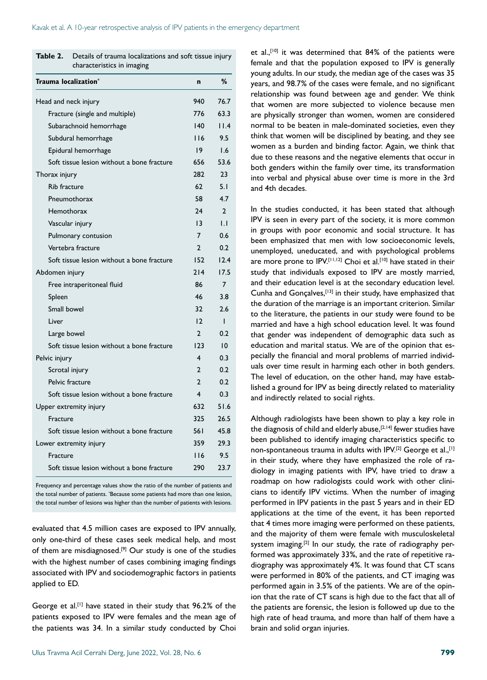| Trauma localization <sup>*</sup>           | $\mathbf n$     | %              |
|--------------------------------------------|-----------------|----------------|
| Head and neck injury                       | 940             | 76.7           |
| Fracture (single and multiple)             | 776             | 63.3           |
| Subarachnoid hemorrhage                    | 140             | 11.4           |
| Subdural hemorrhage                        | 116             | 9.5            |
| Epidural hemorrhage                        | 19              | 1.6            |
| Soft tissue lesion without a bone fracture | 656             | 53.6           |
| Thorax injury                              | 282             | 23             |
| <b>Rib fracture</b>                        | 62              | 5.1            |
| Pneumothorax                               | 58              | 4.7            |
| Hemothorax                                 | 24              | $\mathbf{2}$   |
| Vascular injury                            | $\overline{13}$ | IJ             |
| Pulmonary contusion                        | 7               | 0.6            |
| Vertebra fracture                          | C               | 0.2            |
| Soft tissue lesion without a bone fracture | 152             | 12.4           |
| Abdomen injury                             | 214             | 17.5           |
| Free intraperitoneal fluid                 | 86              | $\overline{7}$ |
| Spleen                                     | 46              | 3.8            |
| Small bowel                                | 32              | 2.6            |
| Liver                                      | 12              | $\mathbf{I}$   |
| Large bowel                                | $\mathcal{P}$   | 0.2            |
| Soft tissue lesion without a bone fracture | 123             | 10             |
| Pelvic injury                              | 4               | 0.3            |
| Scrotal injury                             | $\overline{2}$  | 0.2            |
| Pelvic fracture                            | 2               | 0.2            |
| Soft tissue lesion without a bone fracture | 4               | 0.3            |
| Upper extremity injury                     | 632             | 51.6           |
| Fracture                                   | 325             | 26.5           |
| Soft tissue lesion without a bone fracture | 56 I            | 45.8           |
| Lower extremity injury                     | 359             | 29.3           |
| Fracture                                   | 116             | 9.5            |
| Soft tissue lesion without a bone fracture | 290             | 23.7           |

| <b>Table 2.</b> Details of trauma localizations and soft tissue injury |
|------------------------------------------------------------------------|
| characteristics in imaging                                             |

Frequency and percentage values show the ratio of the number of patients and the total number of patients. \* Because some patients had more than one lesion, the total number of lesions was higher than the number of patients with lesions.

evaluated that 4.5 million cases are exposed to IPV annually, only one-third of these cases seek medical help, and most of them are misdiagnosed.<sup>[9]</sup> Our study is one of the studies with the highest number of cases combining imaging findings associated with IPV and sociodemographic factors in patients applied to ED.

George et al.<sup>[1]</sup> have stated in their study that 96.2% of the patients exposed to IPV were females and the mean age of the patients was 34. In a similar study conducted by Choi

et al.,<sup>[10]</sup> it was determined that 84% of the patients were female and that the population exposed to IPV is generally young adults. In our study, the median age of the cases was 35 years, and 98.7% of the cases were female, and no significant relationship was found between age and gender. We think that women are more subjected to violence because men are physically stronger than women, women are considered normal to be beaten in male-dominated societies, even they think that women will be disciplined by beating, and they see women as a burden and binding factor. Again, we think that due to these reasons and the negative elements that occur in both genders within the family over time, its transformation into verbal and physical abuse over time is more in the 3rd and 4th decades.

In the studies conducted, it has been stated that although IPV is seen in every part of the society, it is more common in groups with poor economic and social structure. It has been emphasized that men with low socioeconomic levels, unemployed, uneducated, and with psychological problems are more prone to IPV.<sup>[11,12]</sup> Choi et al.<sup>[10]</sup> have stated in their study that individuals exposed to IPV are mostly married, and their education level is at the secondary education level. Cunha and Gonçalves,[13] in their study, have emphasized that the duration of the marriage is an important criterion. Similar to the literature, the patients in our study were found to be married and have a high school education level. It was found that gender was independent of demographic data such as education and marital status. We are of the opinion that especially the financial and moral problems of married individuals over time result in harming each other in both genders. The level of education, on the other hand, may have established a ground for IPV as being directly related to materiality and indirectly related to social rights.

Although radiologists have been shown to play a key role in the diagnosis of child and elderly abuse,<sup>[2,14]</sup> fewer studies have been published to identify imaging characteristics specific to non-spontaneous trauma in adults with IPV.<sup>[2]</sup> George et al.,<sup>[1]</sup> in their study, where they have emphasized the role of radiology in imaging patients with IPV, have tried to draw a roadmap on how radiologists could work with other clinicians to identify IPV victims. When the number of imaging performed in IPV patients in the past 5 years and in their ED applications at the time of the event, it has been reported that 4 times more imaging were performed on these patients, and the majority of them were female with musculoskeletal system imaging.<sup>[2]</sup> In our study, the rate of radiography performed was approximately 33%, and the rate of repetitive radiography was approximately 4%. It was found that CT scans were performed in 80% of the patients, and CT imaging was performed again in 3.5% of the patients. We are of the opinion that the rate of CT scans is high due to the fact that all of the patients are forensic, the lesion is followed up due to the high rate of head trauma, and more than half of them have a brain and solid organ injuries.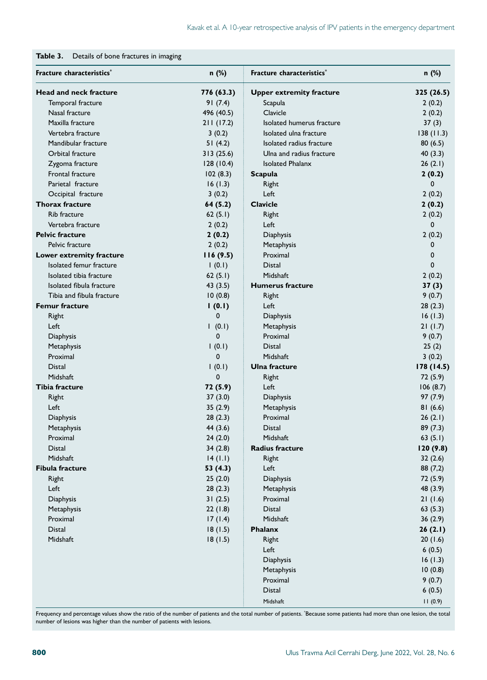| Fracture characteristics*     | n (%)       | Fracture characteristics*       | n (%)      |
|-------------------------------|-------------|---------------------------------|------------|
| <b>Head and neck fracture</b> | 776 (63.3)  | <b>Upper extremity fracture</b> | 325 (26.5) |
| Temporal fracture             | 91(7.4)     | Scapula                         | 2(0.2)     |
| Nasal fracture                | 496 (40.5)  | Clavicle                        | 2(0.2)     |
| Maxilla fracture              | 211(17.2)   | Isolated humerus fracture       | 37(3)      |
| Vertebra fracture             | 3(0.2)      | Isolated ulna fracture          | 138(11.3)  |
| Mandibular fracture           | 51(4.2)     | Isolated radius fracture        | 80(6.5)    |
| Orbital fracture              | 313(25.6)   | Ulna and radius fracture        | 40(3.3)    |
| Zygoma fracture               | 128(10.4)   | <b>Isolated Phalanx</b>         | 26(2.1)    |
| Frontal fracture              | 102(8.3)    | <b>Scapula</b>                  | 2(0.2)     |
| Parietal fracture             | 16(1.3)     | Right                           | 0          |
| Occipital fracture            | 3(0.2)      | Left                            | 2(0.2)     |
| <b>Thorax fracture</b>        | 64 (5.2)    | <b>Clavicle</b>                 | 2(0.2)     |
| <b>Rib fracture</b>           | 62(5.1)     | Right                           | 2(0.2)     |
| Vertebra fracture             | 2(0.2)      | Left                            | 0          |
| <b>Pelvic fracture</b>        | 2(0.2)      | Diaphysis                       | 2(0.2)     |
| Pelvic fracture               | 2(0.2)      | Metaphysis                      | 0          |
| Lower extremity fracture      | 116(9.5)    | Proximal                        | 0          |
| Isolated femur fracture       | 1(0.1)      | Distal                          | 0          |
| Isolated tibia fracture       | 62(5.1)     | Midshaft                        | 2(0.2)     |
| Isolated fibula fracture      | 43(3.5)     | <b>Humerus fracture</b>         | 37(3)      |
| Tibia and fibula fracture     | 10(0.8)     | Right                           | 9(0.7)     |
| <b>Femur fracture</b>         | 1(0.1)      | Left                            | 28(2.3)    |
| Right                         | 0           | Diaphysis                       | 16(1.3)    |
| Left                          | 1(0.1)      | Metaphysis                      | 21(1.7)    |
| Diaphysis                     | 0           | Proximal                        | 9(0.7)     |
| Metaphysis                    | 1(0.1)      | Distal                          | 25(2)      |
| Proximal                      | 0           | Midshaft                        | 3(0.2)     |
| Distal                        | (0.1)       | Ulna fracture                   | 178 (14.5) |
| Midshaft                      | $\mathbf 0$ | Right                           | 72 (5.9)   |
| Tibia fracture                | 72 (5.9)    | Left                            | 106(8.7)   |
| Right                         | 37(3.0)     | Diaphysis                       | 97 (7.9)   |
| Left                          | 35(2.9)     | Metaphysis                      | 81(6.6)    |
| Diaphysis                     | 28(2.3)     | Proximal                        | 26(2.1)    |
| Metaphysis                    | 44(3.6)     | <b>Distal</b>                   | 89(7.3)    |
| Proximal                      | 24(2.0)     | Midshaft                        | 63(5.1)    |
| Distal                        | 34(2.8)     | <b>Radius fracture</b>          | 120 (9.8)  |
| Midshaft                      | 14 (1.1)    | Right                           | 32(2.6)    |
| <b>Fibula fracture</b>        | 53(4.3)     | Left                            | 88(7,2)    |
| Right                         | 25(2.0)     | Diaphysis                       | 72 (5.9)   |
| Left                          | 28(2.3)     | Metaphysis                      | 48 (3.9)   |
| Diaphysis                     | 31(2.5)     | Proximal                        | 21(1.6)    |
| Metaphysis                    | 22(1.8)     | Distal                          | 63(5.3)    |
| Proximal                      | 17(1.4)     | Midshaft                        | 36(2.9)    |
| Distal                        | 18(1.5)     | Phalanx                         | 26(2.1)    |
| Midshaft                      | 18(1.5)     | Right                           | 20(1.6)    |
|                               |             | Left                            | 6(0.5)     |
|                               |             | Diaphysis                       | 16(1.3)    |
|                               |             | Metaphysis                      | 10(0.8)    |
|                               |             | Proximal                        | 9(0.7)     |
|                               |             | Distal                          | 6(0.5)     |
|                               |             | Midshaft                        | 11(0.9)    |

Frequency and percentage values show the ratio of the number of patients and the total number of patients. \* Because some patients had more than one lesion, the total number of lesions was higher than the number of patients with lesions.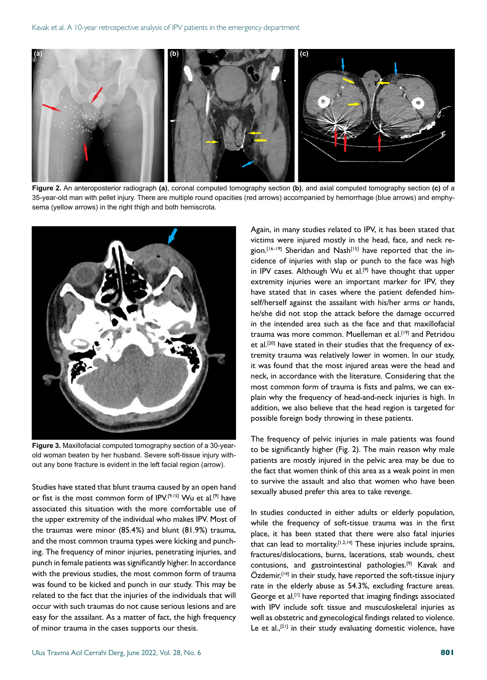

**Figure 2.** An anteroposterior radiograph **(a)**, coronal computed tomography section **(b)**, and axial computed tomography section **(c)** of a 35-year-old man with pellet injury. There are multiple round opacities (red arrows) accompanied by hemorrhage (blue arrows) and emphysema (yellow arrows) in the right thigh and both hemiscrota.



**Figure 3.** Maxillofacial computed tomography section of a 30-yearold woman beaten by her husband. Severe soft-tissue injury without any bone fracture is evident in the left facial region (arrow).

Studies have stated that blunt trauma caused by an open hand or fist is the most common form of IPV.[9,15] Wu et al.[9] have associated this situation with the more comfortable use of the upper extremity of the individual who makes IPV. Most of the traumas were minor (85.4%) and blunt (81.9%) trauma, and the most common trauma types were kicking and punching. The frequency of minor injuries, penetrating injuries, and punch in female patients was significantly higher. In accordance with the previous studies, the most common form of trauma was found to be kicked and punch in our study. This may be related to the fact that the injuries of the individuals that will occur with such traumas do not cause serious lesions and are easy for the assailant. As a matter of fact, the high frequency of minor trauma in the cases supports our thesis.

Again, in many studies related to IPV, it has been stated that victims were injured mostly in the head, face, and neck region.<sup>[16-19]</sup> Sheridan and Nash<sup>[15]</sup> have reported that the incidence of injuries with slap or punch to the face was high in IPV cases. Although Wu et al.<sup>[9]</sup> have thought that upper extremity injuries were an important marker for IPV, they have stated that in cases where the patient defended himself/herself against the assailant with his/her arms or hands, he/she did not stop the attack before the damage occurred in the intended area such as the face and that maxillofacial trauma was more common. Muelleman et al.<sup>[19]</sup> and Petridou et al.[20] have stated in their studies that the frequency of extremity trauma was relatively lower in women. In our study, it was found that the most injured areas were the head and neck, in accordance with the literature. Considering that the most common form of trauma is fists and palms, we can explain why the frequency of head-and-neck injuries is high. In addition, we also believe that the head region is targeted for possible foreign body throwing in these patients.

The frequency of pelvic injuries in male patients was found to be significantly higher (Fig. 2). The main reason why male patients are mostly injured in the pelvic area may be due to the fact that women think of this area as a weak point in men to survive the assault and also that women who have been sexually abused prefer this area to take revenge.

In studies conducted in either adults or elderly population, while the frequency of soft-tissue trauma was in the first place, it has been stated that there were also fatal injuries that can lead to mortality.<sup>[1,2,14]</sup> These injuries include sprains, fractures/dislocations, burns, lacerations, stab wounds, chest contusions, and gastrointestinal pathologies.[9] Kavak and  $\ddot{\text{O}}$ zdemir,<sup>[14]</sup> in their study, have reported the soft-tissue injury rate in the elderly abuse as 54.3%, excluding fracture areas. George et al.[1] have reported that imaging findings associated with IPV include soft tissue and musculoskeletal injuries as well as obstetric and gynecological findings related to violence. Le et al.,<sup>[21]</sup> in their study evaluating domestic violence, have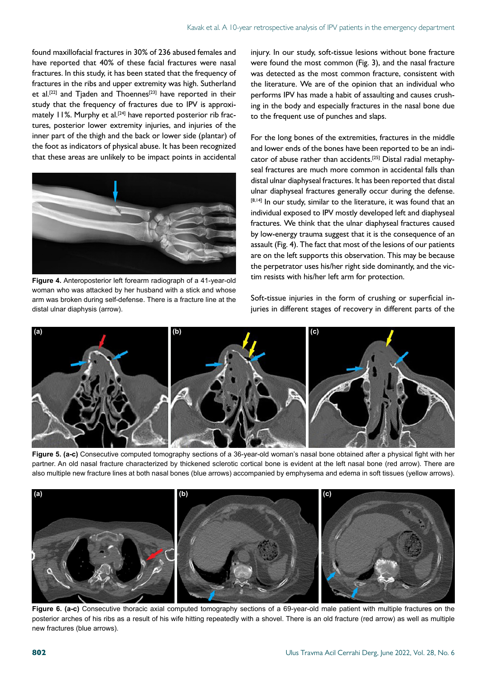found maxillofacial fractures in 30% of 236 abused females and have reported that 40% of these facial fractures were nasal fractures. In this study, it has been stated that the frequency of fractures in the ribs and upper extremity was high. Sutherland et al.<sup>[22]</sup> and Tjaden and Thoennes<sup>[23]</sup> have reported in their study that the frequency of fractures due to IPV is approximately 11%. Murphy et al.<sup>[24]</sup> have reported posterior rib fractures, posterior lower extremity injuries, and injuries of the inner part of the thigh and the back or lower side (plantar) of the foot as indicators of physical abuse. It has been recognized that these areas are unlikely to be impact points in accidental



**Figure 4.** Anteroposterior left forearm radiograph of a 41-year-old woman who was attacked by her husband with a stick and whose arm was broken during self-defense. There is a fracture line at the distal ulnar diaphysis (arrow).

injury. In our study, soft-tissue lesions without bone fracture were found the most common (Fig. 3), and the nasal fracture was detected as the most common fracture, consistent with the literature. We are of the opinion that an individual who performs IPV has made a habit of assaulting and causes crushing in the body and especially fractures in the nasal bone due to the frequent use of punches and slaps.

For the long bones of the extremities, fractures in the middle and lower ends of the bones have been reported to be an indicator of abuse rather than accidents.[25] Distal radial metaphyseal fractures are much more common in accidental falls than distal ulnar diaphyseal fractures. It has been reported that distal ulnar diaphyseal fractures generally occur during the defense. [8,14] In our study, similar to the literature, it was found that an individual exposed to IPV mostly developed left and diaphyseal fractures. We think that the ulnar diaphyseal fractures caused by low-energy trauma suggest that it is the consequence of an assault (Fig. 4). The fact that most of the lesions of our patients are on the left supports this observation. This may be because the perpetrator uses his/her right side dominantly, and the victim resists with his/her left arm for protection.

Soft-tissue injuries in the form of crushing or superficial injuries in different stages of recovery in different parts of the



**Figure 5. (a-c)** Consecutive computed tomography sections of a 36-year-old woman's nasal bone obtained after a physical fight with her partner. An old nasal fracture characterized by thickened sclerotic cortical bone is evident at the left nasal bone (red arrow). There are also multiple new fracture lines at both nasal bones (blue arrows) accompanied by emphysema and edema in soft tissues (yellow arrows).



**Figure 6. (a-c)** Consecutive thoracic axial computed tomography sections of a 69-year-old male patient with multiple fractures on the posterior arches of his ribs as a result of his wife hitting repeatedly with a shovel. There is an old fracture (red arrow) as well as multiple new fractures (blue arrows).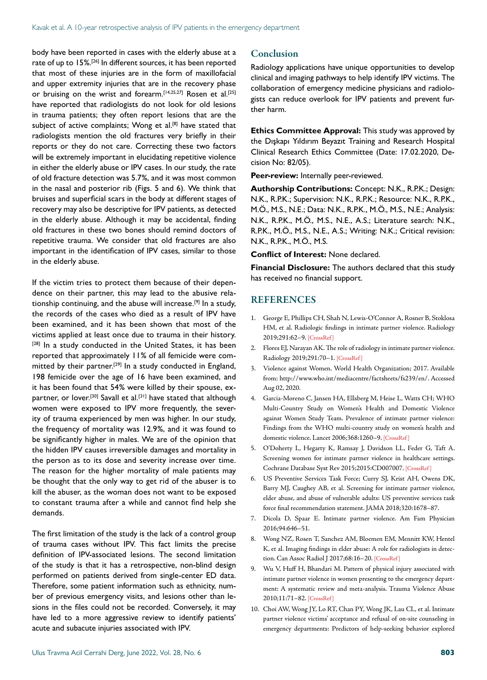body have been reported in cases with the elderly abuse at a rate of up to 15%.[26] In different sources, it has been reported that most of these injuries are in the form of maxillofacial and upper extremity injuries that are in the recovery phase or bruising on the wrist and forearm.<sup>[14,25,27]</sup> Rosen et al.<sup>[25]</sup> have reported that radiologists do not look for old lesions in trauma patients; they often report lesions that are the subject of active complaints; Wong et al.<sup>[8]</sup> have stated that radiologists mention the old fractures very briefly in their reports or they do not care. Correcting these two factors will be extremely important in elucidating repetitive violence in either the elderly abuse or IPV cases. In our study, the rate of old fracture detection was 5.7%, and it was most common in the nasal and posterior rib (Figs. 5 and 6). We think that bruises and superficial scars in the body at different stages of recovery may also be descriptive for IPV patients, as detected in the elderly abuse. Although it may be accidental, finding old fractures in these two bones should remind doctors of repetitive trauma. We consider that old fractures are also important in the identification of IPV cases, similar to those in the elderly abuse.

If the victim tries to protect them because of their dependence on their partner, this may lead to the abusive relationship continuing, and the abuse will increase.<sup>[9]</sup> In a study, the records of the cases who died as a result of IPV have been examined, and it has been shown that most of the victims applied at least once due to trauma in their history. [28] In a study conducted in the United States, it has been reported that approximately 11% of all femicide were committed by their partner.<sup>[29]</sup> In a study conducted in England, 198 femicide over the age of 16 have been examined, and it has been found that 54% were killed by their spouse, expartner, or lover.<sup>[30]</sup> Savall et al.<sup>[31]</sup> have stated that although women were exposed to IPV more frequently, the severity of trauma experienced by men was higher. In our study, the frequency of mortality was 12.9%, and it was found to be significantly higher in males. We are of the opinion that the hidden IPV causes irreversible damages and mortality in the person as to its dose and severity increase over time. The reason for the higher mortality of male patients may be thought that the only way to get rid of the abuser is to kill the abuser, as the woman does not want to be exposed to constant trauma after a while and cannot find help she demands.

The first limitation of the study is the lack of a control group of trauma cases without IPV. This fact limits the precise definition of IPV-associated lesions. The second limitation of the study is that it has a retrospective, non-blind design performed on patients derived from single-center ED data. Therefore, some patient information such as ethnicity, number of previous emergency visits, and lesions other than lesions in the files could not be recorded. Conversely, it may have led to a more aggressive review to identify patients' acute and subacute injuries associated with IPV.

#### Conclusion

Radiology applications have unique opportunities to develop clinical and imaging pathways to help identify IPV victims. The collaboration of emergency medicine physicians and radiologists can reduce overlook for IPV patients and prevent further harm.

**Ethics Committee Approval:** This study was approved by the Dışkapı Yıldırım Beyazıt Training and Research Hospital Clinical Research Ethics Committee (Date: 17.02.2020, Decision No: 82/05).

**Peer-review:** Internally peer-reviewed.

**Authorship Contributions:** Concept: N.K., R.P.K.; Design: N.K., R.P.K.; Supervision: N.K., R.P.K.; Resource: N.K., R.P.K., M.Ö., M.S., N.E.; Data: N.K., R.P.K., M.Ö., M.S., N.E.; Analysis: N.K., R.P.K., M.Ö., M.S., N.E., A.S.; Literature search: N.K., R.P.K., M.Ö., M.S., N.E., A.S.; Writing: N.K.; Critical revision: N.K., R.P.K., M.Ö., M.S.

**Conflict of Interest:** None declared.

**Financial Disclosure:** The authors declared that this study has received no financial support.

#### **REFERENCES**

- 1. George E, Phillips CH, Shah N, Lewis-O'Connor A, Rosner B, Stoklosa HM, et al. Radiologic findings in intimate partner violence. Radiology 2019;291:62–[9. \[CrossRef \]](https://doi.org/10.1148/radiol.2019180801)
- 2. Flores EJ, Narayan AK. The role of radiology in intimate partner violence. Radiology 2019;291:70–[1. \[CrossRef \]](https://doi.org/10.1148/radiol.2019190057)
- 3. Violence against Women. World Health Organization; 2017. Available from: http://www.who.int/mediacentre/factsheets/fs239/en/. Accessed Aug 02, 2020.
- 4. Garcia-Moreno C, Jansen HA, Ellsberg M, Heise L, Watts CH; WHO Multi-Country Study on Women's Health and Domestic Violence against Women Study Team. Prevalence of intimate partner violence: Findings from the WHO multi-country study on women's health and domestic violence. Lancet 2006;368:1260-9. [CrossRef]
- 5. O'Doherty L, Hegarty K, Ramsay J, Davidson LL, Feder G, Taft A. Screening women for intimate partner violence in healthcare settings. Cochrane Database Syst Rev 2015;2015:CD007007. [\[CrossRef \]](https://doi.org/10.1002/14651858.CD007007.pub3)
- 6. US Preventive Services Task Force; Curry SJ, Krist AH, Owens DK, Barry MJ, Caughey AB, et al. Screening for intimate partner violence, elder abuse, and abuse of vulnerable adults: US preventive services task force final recommendation statement. JAMA [2018;320:1678–87.](https://doi.org/10.1001/jama.2018.10897)
- 7. Dicola D, Spaar E. Intimate partner violence. Am Fam Physician 2016;94:646–51.
- 8. Wong NZ, Rosen T, Sanchez AM, Bloemen EM, Mennitt KW, Hentel K, et al. Imaging findings in elder abuse: A role for radiologists in detection. Can Assoc Radiol J 2017;68:16–20. [\[CrossRef \]](https://doi.org/10.1016/j.carj.2016.06.001)
- 9. Wu V, Huff H, Bhandari M. Pattern of physical injury associated with intimate partner violence in women presenting to the emergency department: A systematic review and meta-analysis. Trauma Violence Abuse 2010;11:71–82[. \[CrossRef \]](https://doi.org/10.1177/1524838010367503)
- 10. Choi AW, Wong JY, Lo RT, Chan PY, Wong JK, Lau CL, et al. Intimate partner violence victims' acceptance and refusal of on-site counseling in emergency departments: Predictors of help-seeking behavior explored